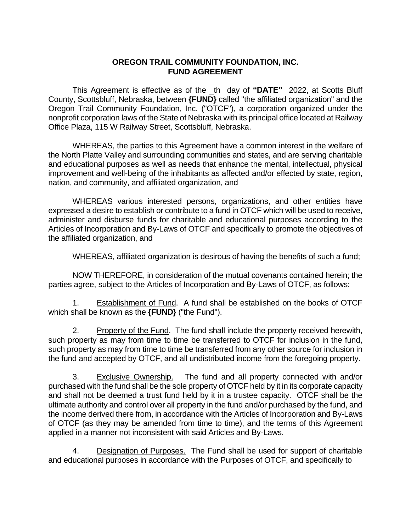## **OREGON TRAIL COMMUNITY FOUNDATION, INC. FUND AGREEMENT**

This Agreement is effective as of the \_th day of **"DATE"** 2022, at Scotts Bluff County, Scottsbluff, Nebraska, between **{FUND}** called "the affiliated organization" and the Oregon Trail Community Foundation, Inc. ("OTCF"), a corporation organized under the nonprofit corporation laws of the State of Nebraska with its principal office located at Railway Office Plaza, 115 W Railway Street, Scottsbluff, Nebraska.

WHEREAS, the parties to this Agreement have a common interest in the welfare of the North Platte Valley and surrounding communities and states, and are serving charitable and educational purposes as well as needs that enhance the mental, intellectual, physical improvement and well-being of the inhabitants as affected and/or effected by state, region, nation, and community, and affiliated organization, and

WHEREAS various interested persons, organizations, and other entities have expressed a desire to establish or contribute to a fund in OTCF which will be used to receive, administer and disburse funds for charitable and educational purposes according to the Articles of Incorporation and By-Laws of OTCF and specifically to promote the objectives of the affiliated organization, and

WHEREAS, affiliated organization is desirous of having the benefits of such a fund;

NOW THEREFORE, in consideration of the mutual covenants contained herein; the parties agree, subject to the Articles of Incorporation and By-Laws of OTCF, as follows:

1. Establishment of Fund. A fund shall be established on the books of OTCF which shall be known as the **{FUND}** ("the Fund").

2. Property of the Fund. The fund shall include the property received herewith, such property as may from time to time be transferred to OTCF for inclusion in the fund, such property as may from time to time be transferred from any other source for inclusion in the fund and accepted by OTCF, and all undistributed income from the foregoing property.

3. Exclusive Ownership. The fund and all property connected with and/or purchased with the fund shall be the sole property of OTCF held by it in its corporate capacity and shall not be deemed a trust fund held by it in a trustee capacity. OTCF shall be the ultimate authority and control over all property in the fund and/or purchased by the fund, and the income derived there from, in accordance with the Articles of Incorporation and By-Laws of OTCF (as they may be amended from time to time), and the terms of this Agreement applied in a manner not inconsistent with said Articles and By-Laws.

4. Designation of Purposes. The Fund shall be used for support of charitable and educational purposes in accordance with the Purposes of OTCF, and specifically to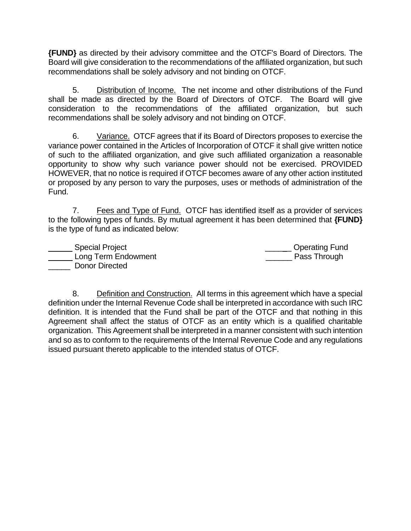**{FUND}** as directed by their advisory committee and the OTCF's Board of Directors. The Board will give consideration to the recommendations of the affiliated organization, but such recommendations shall be solely advisory and not binding on OTCF.

5. Distribution of Income. The net income and other distributions of the Fund shall be made as directed by the Board of Directors of OTCF. The Board will give consideration to the recommendations of the affiliated organization, but such recommendations shall be solely advisory and not binding on OTCF.

6. Variance. OTCF agrees that if its Board of Directors proposes to exercise the variance power contained in the Articles of Incorporation of OTCF it shall give written notice of such to the affiliated organization, and give such affiliated organization a reasonable opportunity to show why such variance power should not be exercised. PROVIDED HOWEVER, that no notice is required if OTCF becomes aware of any other action instituted or proposed by any person to vary the purposes, uses or methods of administration of the Fund.

7. Fees and Type of Fund. OTCF has identified itself as a provider of services to the following types of funds. By mutual agreement it has been determined that **{FUND}** is the type of fund as indicated below:

Letter Letter Special Project and Special Project and Special Assembly Containing Containing Fund Long Term Endowment **Example 2** Pass Through Donor Directed

8. Definition and Construction. All terms in this agreement which have a special definition under the Internal Revenue Code shall be interpreted in accordance with such IRC definition. It is intended that the Fund shall be part of the OTCF and that nothing in this Agreement shall affect the status of OTCF as an entity which is a qualified charitable organization. This Agreement shall be interpreted in a manner consistent with such intention and so as to conform to the requirements of the Internal Revenue Code and any regulations issued pursuant thereto applicable to the intended status of OTCF.